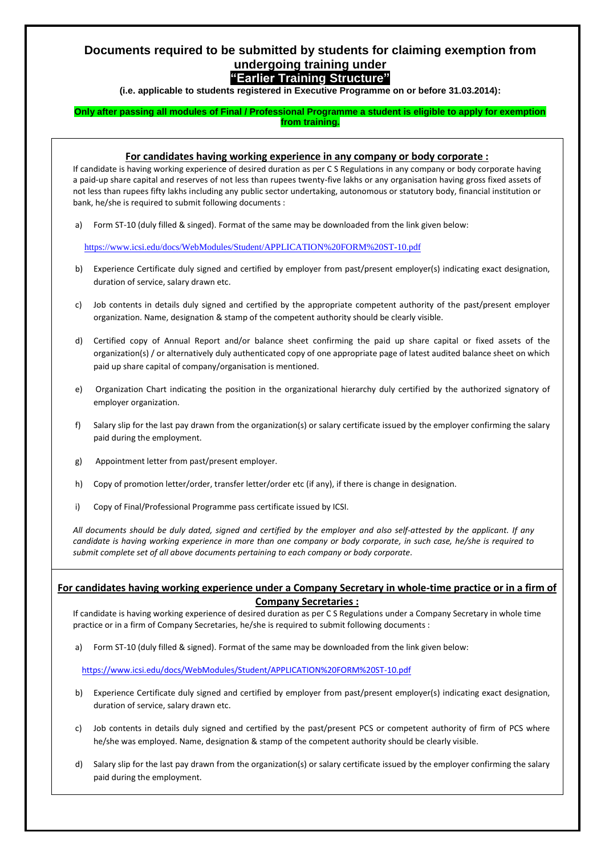### **Documents required to be submitted by students for claiming exemption from undergoing training under**

### **"Earlier Training Structure"**

**(i.e. applicable to students registered in Executive Programme on or before 31.03.2014):**

### **Only after passing all modules of Final / Professional Programme a student is eligible to apply for exemption from training.**

### **For candidates having working experience in any company or body corporate :**

If candidate is having working experience of desired duration as per C S Regulations in any company or body corporate having a paid-up share capital and reserves of not less than rupees twenty-five lakhs or any organisation having gross fixed assets of not less than rupees fifty lakhs including any public sector undertaking, autonomous or statutory body, financial institution or bank, he/she is required to submit following documents :

a) Form ST-10 (duly filled & singed). Format of the same may be downloaded from the link given below:

<https://www.icsi.edu/docs/WebModules/Student/APPLICATION%20FORM%20ST-10.pdf>

- b) Experience Certificate duly signed and certified by employer from past/present employer(s) indicating exact designation, duration of service, salary drawn etc.
- c) Job contents in details duly signed and certified by the appropriate competent authority of the past/present employer organization. Name, designation & stamp of the competent authority should be clearly visible.
- d) Certified copy of Annual Report and/or balance sheet confirming the paid up share capital or fixed assets of the organization(s) / or alternatively duly authenticated copy of one appropriate page of latest audited balance sheet on which paid up share capital of company/organisation is mentioned.
- e) Organization Chart indicating the position in the organizational hierarchy duly certified by the authorized signatory of employer organization.
- f) Salary slip for the last pay drawn from the organization(s) or salary certificate issued by the employer confirming the salary paid during the employment.
- g) Appointment letter from past/present employer.
- h) Copy of promotion letter/order, transfer letter/order etc (if any), if there is change in designation.
- i) Copy of Final/Professional Programme pass certificate issued by ICSI.

*All documents should be duly dated, signed and certified by the employer and also self-attested by the applicant. If any candidate is having working experience in more than one company or body corporate, in such case, he/she is required to submit complete set of all above documents pertaining to each company or body corporate.* 

### **For candidates having working experience under a Company Secretary in whole-time practice or in a firm of Company Secretaries :**

If candidate is having working experience of desired duration as per C S Regulations under a Company Secretary in whole time practice or in a firm of Company Secretaries, he/she is required to submit following documents :

a) Form ST-10 (duly filled & signed). Format of the same may be downloaded from the link given below:

<https://www.icsi.edu/docs/WebModules/Student/APPLICATION%20FORM%20ST-10.pdf>

- b) Experience Certificate duly signed and certified by employer from past/present employer(s) indicating exact designation, duration of service, salary drawn etc.
- c) Job contents in details duly signed and certified by the past/present PCS or competent authority of firm of PCS where he/she was employed. Name, designation & stamp of the competent authority should be clearly visible.
- d) Salary slip for the last pay drawn from the organization(s) or salary certificate issued by the employer confirming the salary paid during the employment.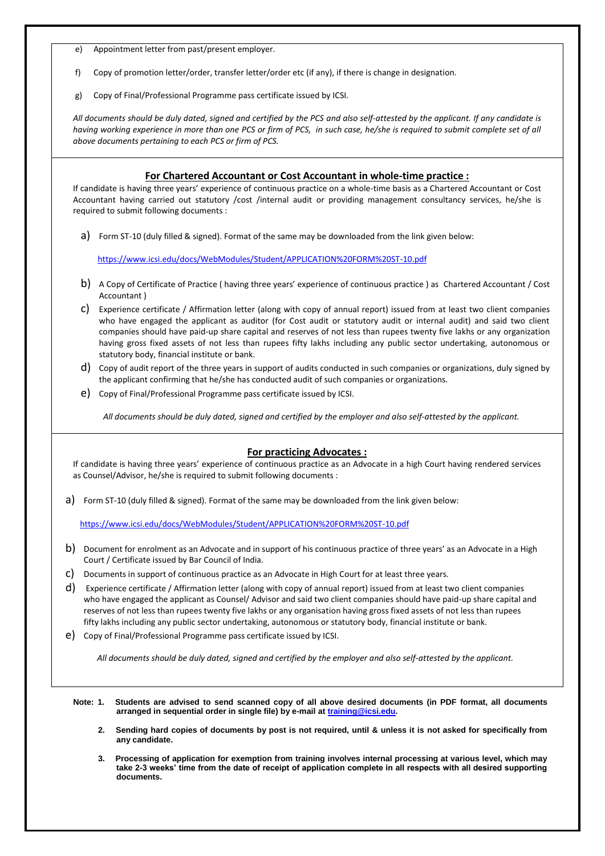- e) Appointment letter from past/present employer.
- f) Copy of promotion letter/order, transfer letter/order etc (if any), if there is change in designation.
- g) Copy of Final/Professional Programme pass certificate issued by ICSI.

*All documents should be duly dated, signed and certified by the PCS and also self-attested by the applicant. If any candidate is having working experience in more than one PCS or firm of PCS, in such case, he/she is required to submit complete set of all above documents pertaining to each PCS or firm of PCS.*

### **For Chartered Accountant or Cost Accountant in whole-time practice :**

If candidate is having three years' experience of continuous practice on a whole-time basis as a Chartered Accountant or Cost Accountant having carried out statutory /cost /internal audit or providing management consultancy services, he/she is required to submit following documents :

a) Form ST-10 (duly filled & signed). Format of the same may be downloaded from the link given below:

<https://www.icsi.edu/docs/WebModules/Student/APPLICATION%20FORM%20ST-10.pdf>

- b) A Copy of Certificate of Practice ( having three years' experience of continuous practice ) as Chartered Accountant / Cost Accountant )
- c) Experience certificate / Affirmation letter (along with copy of annual report) issued from at least two client companies who have engaged the applicant as auditor (for Cost audit or statutory audit or internal audit) and said two client companies should have paid-up share capital and reserves of not less than rupees twenty five lakhs or any organization having gross fixed assets of not less than rupees fifty lakhs including any public sector undertaking, autonomous or statutory body, financial institute or bank.
- d) Copy of audit report of the three years in support of audits conducted in such companies or organizations, duly signed by the applicant confirming that he/she has conducted audit of such companies or organizations.
- e) Copy of Final/Professional Programme pass certificate issued by ICSI.

*All documents should be duly dated, signed and certified by the employer and also self-attested by the applicant.* 

#### **For practicing Advocates :**

If candidate is having three years' experience of continuous practice as an Advocate in a high Court having rendered services as Counsel/Advisor, he/she is required to submit following documents :

a) Form ST-10 (duly filled & signed). Format of the same may be downloaded from the link given below:

<https://www.icsi.edu/docs/WebModules/Student/APPLICATION%20FORM%20ST-10.pdf>

- b) Document for enrolment as an Advocate and in support of his continuous practice of three years' as an Advocate in a High Court / Certificate issued by Bar Council of India.
- c) Documents in support of continuous practice as an Advocate in High Court for at least three years.
- d) Experience certificate / Affirmation letter (along with copy of annual report) issued from at least two client companies who have engaged the applicant as Counsel/ Advisor and said two client companies should have paid-up share capital and reserves of not less than rupees twenty five lakhs or any organisation having gross fixed assets of not less than rupees fifty lakhs including any public sector undertaking, autonomous or statutory body, financial institute or bank.
- e) Copy of Final/Professional Programme pass certificate issued by ICSI.

*All documents should be duly dated, signed and certified by the employer and also self-attested by the applicant.* 

- **Note: 1. Students are advised to send scanned copy of all above desired documents (in PDF format, all documents arranged in sequential order in single file) by e-mail a[t training@icsi.edu.](mailto:training@icsi.edu)** 
	- **2. Sending hard copies of documents by post is not required, until & unless it is not asked for specifically from any candidate.**
	- **3. Processing of application for exemption from training involves internal processing at various level, which may take 2-3 weeks' time from the date of receipt of application complete in all respects with all desired supporting documents.**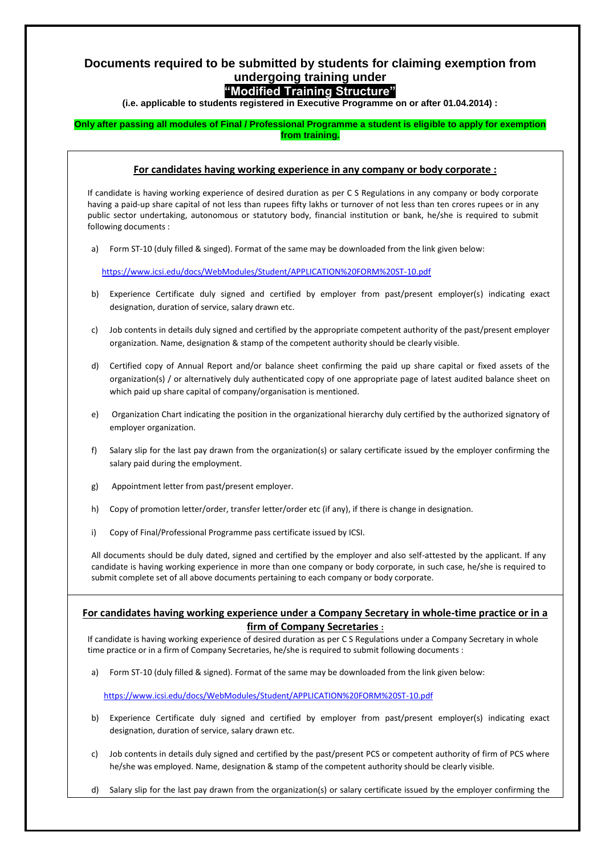## **Documents required to be submitted by students for claiming exemption from undergoing training under**

# **"Modified Training Structure"**

**(i.e. applicable to students registered in Executive Programme on or after 01.04.2014) :**

### **Only after passing all modules of Final / Professional Programme a student is eligible to apply for exemption from training.**

### **For candidates having working experience in any company or body corporate :**

If candidate is having working experience of desired duration as per C S Regulations in any company or body corporate having a paid-up share capital of not less than rupees fifty lakhs or turnover of not less than ten crores rupees or in any public sector undertaking, autonomous or statutory body, financial institution or bank, he/she is required to submit following documents :

a) Form ST-10 (duly filled & singed). Format of the same may be downloaded from the link given below:

<https://www.icsi.edu/docs/WebModules/Student/APPLICATION%20FORM%20ST-10.pdf>

- b) Experience Certificate duly signed and certified by employer from past/present employer(s) indicating exact designation, duration of service, salary drawn etc.
- c) Job contents in details duly signed and certified by the appropriate competent authority of the past/present employer organization. Name, designation & stamp of the competent authority should be clearly visible.
- d) Certified copy of Annual Report and/or balance sheet confirming the paid up share capital or fixed assets of the organization(s) / or alternatively duly authenticated copy of one appropriate page of latest audited balance sheet on which paid up share capital of company/organisation is mentioned.
- e) Organization Chart indicating the position in the organizational hierarchy duly certified by the authorized signatory of employer organization.
- f) Salary slip for the last pay drawn from the organization(s) or salary certificate issued by the employer confirming the salary paid during the employment.
- g) Appointment letter from past/present employer.
- h) Copy of promotion letter/order, transfer letter/order etc (if any), if there is change in designation.
- i) Copy of Final/Professional Programme pass certificate issued by ICSI.

All documents should be duly dated, signed and certified by the employer and also self-attested by the applicant. If any candidate is having working experience in more than one company or body corporate, in such case, he/she is required to submit complete set of all above documents pertaining to each company or body corporate.

### **For candidates having working experience under a Company Secretary in whole-time practice or in a firm of Company Secretaries :**

If candidate is having working experience of desired duration as per C S Regulations under a Company Secretary in whole time practice or in a firm of Company Secretaries, he/she is required to submit following documents :

a) Form ST-10 (duly filled & signed). Format of the same may be downloaded from the link given below:

<https://www.icsi.edu/docs/WebModules/Student/APPLICATION%20FORM%20ST-10.pdf>

- b) Experience Certificate duly signed and certified by employer from past/present employer(s) indicating exact designation, duration of service, salary drawn etc.
- c) Job contents in details duly signed and certified by the past/present PCS or competent authority of firm of PCS where he/she was employed. Name, designation & stamp of the competent authority should be clearly visible.
- Salary slip for the last pay drawn from the organization(s) or salary certificate issued by the employer confirming the